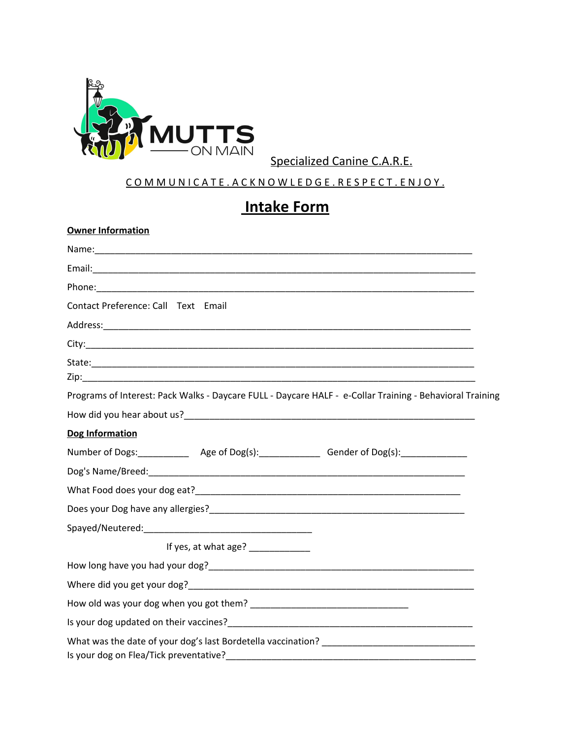

Specialized Canine C.A.R.E.

#### COMMUNICATE. ACKNOWLEDGE. RESPECT. ENJOY.

## **Intake Form**

# **Owner Information**

| Contact Preference: Call Text Email                                                                      |
|----------------------------------------------------------------------------------------------------------|
|                                                                                                          |
|                                                                                                          |
|                                                                                                          |
| Programs of Interest: Pack Walks - Daycare FULL - Daycare HALF - e-Collar Training - Behavioral Training |
|                                                                                                          |
| Dog Information                                                                                          |
| Number of Dogs:______________ Age of Dog(s):_______________ Gender of Dog(s):______________              |
|                                                                                                          |
|                                                                                                          |
|                                                                                                          |
|                                                                                                          |
| If yes, at what age? _____________                                                                       |
|                                                                                                          |
|                                                                                                          |
|                                                                                                          |
|                                                                                                          |
| Is your dog on Flea/Tick preventative?                                                                   |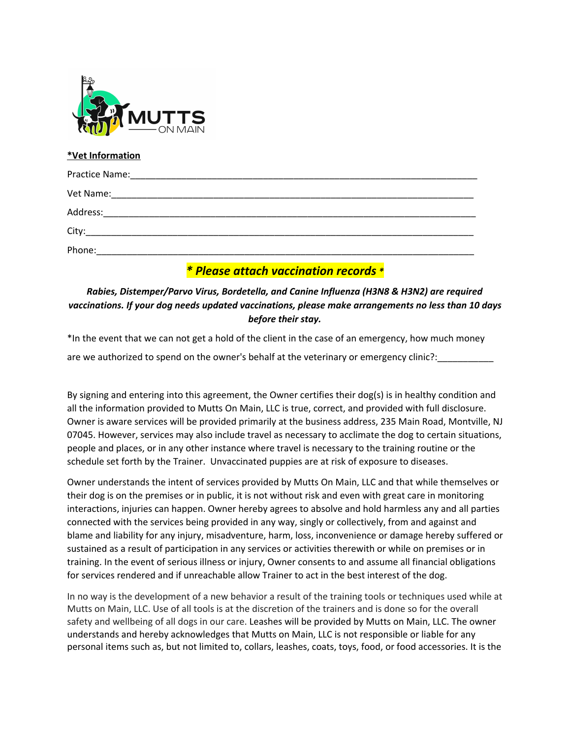

#### **\*Vet Information**

| Vet Name: 2008. 2008. 2009. 2010. 2010. 2010. 2010. 2010. 2010. 2010. 2010. 2010. 2010. 2010. 2010. 2010. 2010 |
|----------------------------------------------------------------------------------------------------------------|
| Address:                                                                                                       |
|                                                                                                                |
| Phone:                                                                                                         |

### *\* Please attach vaccination records \**

#### *Rabies, Distemper/Parvo Virus, Bordetella, and Canine Influenza (H3N8 & H3N2) are required vaccinations. If your dog needs updated vaccinations, please make arrangements no less than 10 days before their stay.*

\*In the event that we can not get a hold of the client in the case of an emergency, how much money

are we authorized to spend on the owner's behalf at the veterinary or emergency clinic?:

By signing and entering into this agreement, the Owner certifies their dog(s) is in healthy condition and all the information provided to Mutts On Main, LLC is true, correct, and provided with full disclosure. Owner is aware services will be provided primarily at the business address, 235 Main Road, Montville, NJ 07045. However, services may also include travel as necessary to acclimate the dog to certain situations, people and places, or in any other instance where travel is necessary to the training routine or the schedule set forth by the Trainer. Unvaccinated puppies are at risk of exposure to diseases.

Owner understands the intent of services provided by Mutts On Main, LLC and that while themselves or their dog is on the premises or in public, it is not without risk and even with great care in monitoring interactions, injuries can happen. Owner hereby agrees to absolve and hold harmless any and all parties connected with the services being provided in any way, singly or collectively, from and against and blame and liability for any injury, misadventure, harm, loss, inconvenience or damage hereby suffered or sustained as a result of participation in any services or activities therewith or while on premises or in training. In the event of serious illness or injury, Owner consents to and assume all financial obligations for services rendered and if unreachable allow Trainer to act in the best interest of the dog.

In no way is the development of a new behavior a result of the training tools or techniques used while at Mutts on Main, LLC. Use of all tools is at the discretion of the trainers and is done so for the overall safety and wellbeing of all dogs in our care. Leashes will be provided by Mutts on Main, LLC. The owner understands and hereby acknowledges that Mutts on Main, LLC is not responsible or liable for any personal items such as, but not limited to, collars, leashes, coats, toys, food, or food accessories. It is the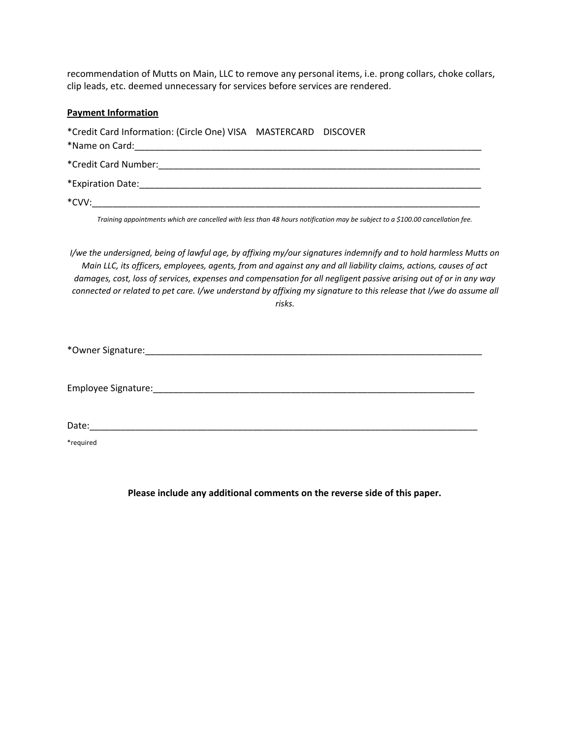recommendation of Mutts on Main, LLC to remove any personal items, i.e. prong collars, choke collars, clip leads, etc. deemed unnecessary for services before services are rendered.

#### **Payment Information**

| *Credit Card Information: (Circle One) VISA MASTERCARD DISCOVER |  |
|-----------------------------------------------------------------|--|
|                                                                 |  |
|                                                                 |  |
|                                                                 |  |
| *CVV:                                                           |  |

Training appointments which are cancelled with less than 48 hours notification may be subject to a \$100.00 cancellation fee.

I/we the undersigned, being of lawful age, by affixing my/our signatures indemnify and to hold harmless Mutts on Main LLC, its officers, employees, agents, from and against any and all liability claims, actions, causes of act damages, cost, loss of services, expenses and compensation for all negligent passive arising out of or in any way connected or related to pet care. I/we understand by affixing my signature to this release that I/we do assume all *risks.*

\*Owner Signature:\_\_\_\_\_\_\_\_\_\_\_\_\_\_\_\_\_\_\_\_\_\_\_\_\_\_\_\_\_\_\_\_\_\_\_\_\_\_\_\_\_\_\_\_\_\_\_\_\_\_\_\_\_\_\_\_\_\_\_\_\_\_\_\_\_\_

Employee Signature:\_\_\_\_\_\_\_\_\_\_\_\_\_\_\_\_\_\_\_\_\_\_\_\_\_\_\_\_\_\_\_\_\_\_\_\_\_\_\_\_\_\_\_\_\_\_\_\_\_\_\_\_\_\_\_\_\_\_\_\_\_\_\_

 $\textsf{Date:}\_\_$ 

\*required

**Please include any additional comments on the reverse side of this paper.**